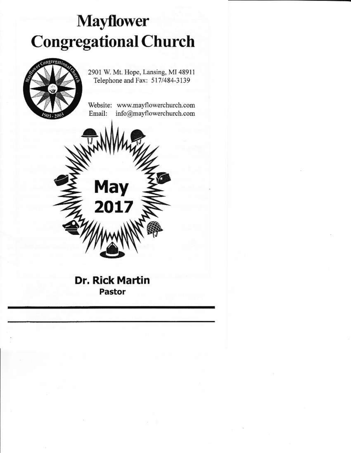# **Mayflower Congregational Church**



2901 W. Mt. Hope, Lansing, MI 48911 Telephone and Fax: 517/484-3139

Website: www.mayflowerchurch.com Email: info@mayflowerchurch.com

**Dr. Rick Martin** Pastor

**May** 

 $2017$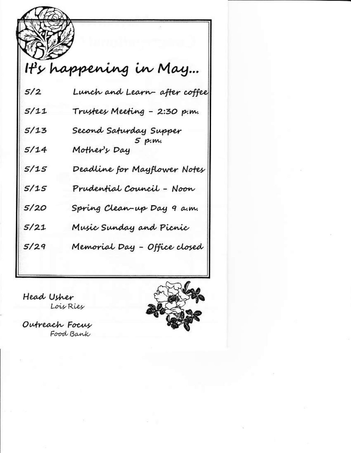|      | It's happening in May                            |
|------|--------------------------------------------------|
| 5/2  | Lunch and Learn-after coffee                     |
| 5/11 | Trustees Meeting - 2:30 p.m.                     |
| 5/13 |                                                  |
| 5/14 | Second Saturday Supper<br>5 p.m.<br>Mother's Day |
| 5/15 | Deadline for Mayflower Notes                     |
| 5/15 | Prudential Council - Noon                        |
| 5/20 | Spring Clean-up Day 9 a.m.                       |
| 5/21 | Music Sunday and Picnic                          |
| 5/29 | Memorial Day - Office closed                     |

Head Usher Lois Ries

Outreach Focus Food Bank

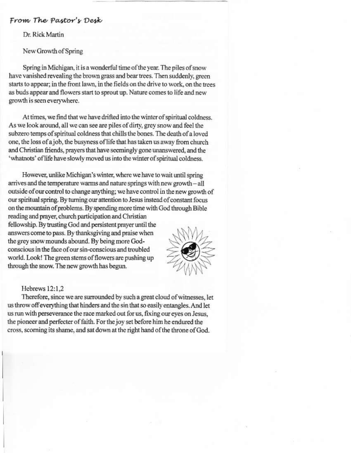#### From The Pastor's Desk

Dr. Rick Martin

New Growth of Spring

Spring in Michigan, it is a wonderful time of the year. The piles of snow have vanished revealing the brown grass and bear trees. Then suddenly, green starts to appear; in the front lawn, in the fields on the drive to work, on the trees as buds appear and flowers start to sprout up. Nature comes to life and new growth is seen everywhere.

At times, we find that we have drifted into the winter of spiritual coldness. As we look around, all we can see are piles of dirty, grey snow and feel the subzero temps of spiritual coldness that chills the bones. The death of a loved one, the loss of a job, the busyness of life that has taken us away from church and Christian friends, prayers that have seemingly gone unanswered, and the 'whatnots' of life have slowly moved us into the winter of spiritual coldness.

However, unlike Michigan's winter, where we have to wait until spring arrives and the temperature warms and nature springs with new growth - all outside of our control to change anything; we have control in the new growth of our spiritual spring. By turning our attention to Jesus instead of constant focus on the mountain of problems. By spending more time with God through Bible reading and prayer, church participation and Christian fellowship. By trusting God and persistent prayer until the answers come to pass. By thanksgiving and praise when the grey snow mounds abound. By being more Godconscious in the face of our sin-conscious and troubled world. Look! The green stems of flowers are pushing up through the snow. The new growth has begun.

#### Hebrews 12:1.2

Therefore, since we are surrounded by such a great cloud of witnesses, let us throw off everything that hinders and the sin that so easily entangles. And let us run with perseverance the race marked out for us, fixing our eyes on Jesus, the pioneer and perfecter of faith. For the joy set before him he endured the cross, scorning its shame, and sat down at the right hand of the throne of God.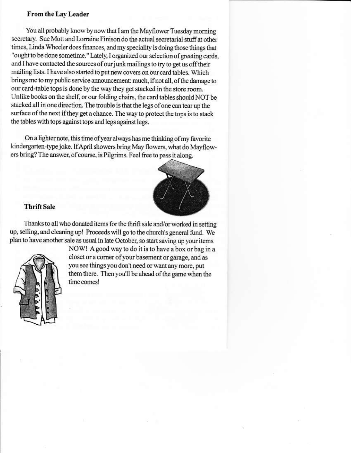#### From the Lay Leader

You all probably know by now that I am the Mayflower Tuesday morning secretary. Sue Mott and Lorraine Finison do the actual secretarial stuff at other times. Linda Wheeler does finances, and my speciality is doing those things that "ought to be done sometime." Lately, I organized our selection of greeting cards, and I have contacted the sources of our junk mailings to try to get us off their mailing lists. I have also started to put new covers on our card tables. Which brings me to my public service announcement: much, if not all, of the damage to our card-table tops is done by the way they get stacked in the store room. Unlike books on the shelf, or our folding chairs, the card tables should NOT be stacked all in one direction. The trouble is that the legs of one can tear up the surface of the next if they get a chance. The way to protect the tops is to stack the tables with tops against tops and legs against legs.

On a lighter note, this time of year always has me thinking of my favorite kindergarten-type joke. If April showers bring May flowers, what do Mayflowers bring? The answer, of course, is Pilgrims. Feel free to pass it along.



#### **Thrift Sale**

Thanks to all who donated items for the thrift sale and/or worked in setting up, selling, and cleaning up! Proceeds will go to the church's general fund. We plan to have another sale as usual in late October, so start saving up your items



NOW! A good way to do it is to have a box or bag in a closet or a corner of your basement or garage, and as you see things you don't need or want any more, put them there. Then you'll be ahead of the game when the time comes!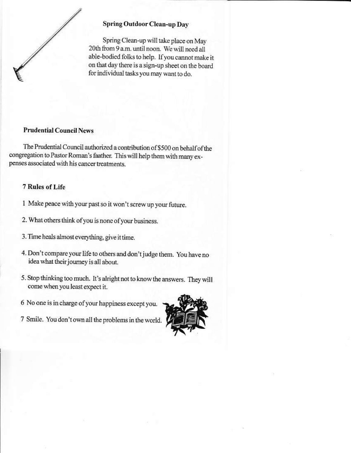

#### Spring Outdoor Clean-up Day

Spring Clean-up will take place on May 20th from 9 a.m. until noon. We will need all able-bodied folks to help. If you cannot make it on that day there is a sign-up sheet on the board for individual tasks you may want to do.

### **Prudential Council News**

The Prudential Council authorized a contribution of \$500 on behalf of the congregation to Pastor Roman's faather. This will help them with many expenses associated with his cancer treatments.

#### 7 Rules of Life

- 1 Make peace with your past so it won't screw up your future.
- 2. What others think of you is none of your business.
- 3. Time heals almost everything, give it time.
- 4. Don't compare your life to others and don't judge them. You have no idea what their journey is all about.
- 5. Stop thinking too much. It's alright not to know the answers. They will come when you least expect it.
- 6 No one is in charge of your happiness except you.
- 7 Smile. You don't own all the problems in the world.

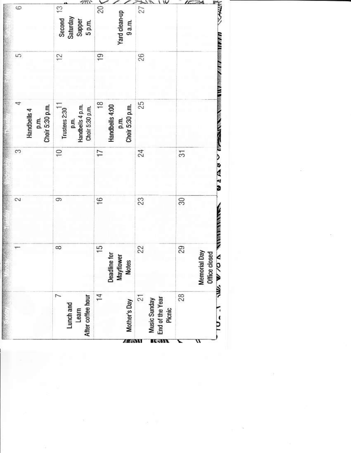|                                                                     |                                                                   | $\sim$        | $\infty$ | 4<br>Choir 5:30 p.m.<br>Handbells 4<br>p.m.                         | 5              | G                                         |
|---------------------------------------------------------------------|-------------------------------------------------------------------|---------------|----------|---------------------------------------------------------------------|----------------|-------------------------------------------|
| After coffee hour<br>Lunch and<br>Learn                             | $\infty$                                                          | 9             | Ş        | Trustees $2:30^{11}$<br>p.m.<br>Handbells 4 p.m.<br>Choir 5:30 p.m. | 12             | Second 13<br>Saturday<br>Supper<br>5 p.m. |
| $\frac{1}{4}$<br>Mother's Day<br>A 65.15                            | $\frac{5}{1}$<br><b>Deadline for</b><br>Mayflower<br><b>Notes</b> | $\frac{6}{5}$ | 17       | $\frac{8}{1}$<br>Handbells 4:00<br>p.m.<br>Choir 5:30 p.m.          | $\overline{9}$ | 20<br>Yard clean-up<br>9a.m.              |
| $\overline{c}$<br>End of the Year<br>Music Sunday<br>Picnic<br>TWEE | 22                                                                | 23            | 24       | 25                                                                  | 26             | 27                                        |
| 28                                                                  | 29<br>Day<br>Office closed<br>Memorial                            | 30            | 57       |                                                                     |                |                                           |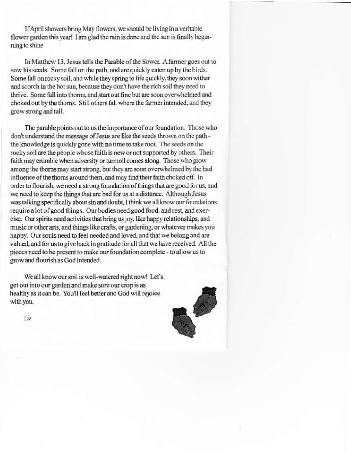If April showers bring May flowers, we should be living in a veritable flower garden this year! I am glad the rain is done and the sun is finally beginning to shine.

In Matthew 13, Jesus tells the Parable of the Sower. A farmer goes out to sow his seeds. Some fall on the path, and are quickly eaten up by the birds. Some fall on rocky soil, and while they spring to life quickly, they soon wither and scorch in the hot sun, because they don't have the rich soil they need to thrive. Some fall into thorns, and start out fine but are soon overwhelmed and choked out by the thorns. Still others fall where the farmer intended, and they grow strong and tall.

The parable points out to us the importance of our foundation. Those who don't understand the message of Jesus are like the seeds thrown on the path the knowledge is quickly gone with no time to take root. The seeds on the rocky soil are the people whose faith is new or not supported by others. Their faith may crumble when adversity or turmoil comes along. Those who grow among the thorns may start strong, but they are soon overwhelmed by the bad influence of the thorns around them, and may find their faith choked off. In order to flourish, we need a strong foundation of things that are good for us, and we need to keep the things that are bad for us at a distance. Although Jesus was talking specifically about sin and doubt, I think we all know our foundations require a lot of good things. Our bodies need good food, and rest, and exercise. Our spirits need activities that bring us joy, like happy relationships, and music or other arts, and things like crafts, or gardening, or whatever makes you happy. Our souls need to feel needed and loved, and that we belong and are valued, and for us to give back in gratitude for all that we have received. All the pieces need to be present to make our foundation complete - to allow us to grow and flourish as God intended.

We all know our soil is well-watered right now! Let's get out into our garden and make sure our crop is as healthy as it can be. You'll feel better and God will rejoice with you.



Liz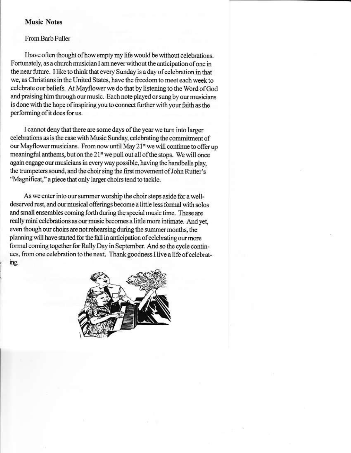#### **Music Notes**

#### From Barb Fuller

I have often thought of how empty my life would be without celebrations. Fortunately, as a church musician I am never without the anticipation of one in the near future. I like to think that every Sunday is a day of celebration in that we, as Christians in the United States, have the freedom to meet each week to celebrate our beliefs. At Mayflower we do that by listening to the Word of God and praising him through our music. Each note played or sung by our musicians is done with the hope of inspiring you to connect further with your faith as the performing of it does for us.

I cannot deny that there are some days of the year we turn into larger celebrations as is the case with Music Sunday, celebrating the commitment of our Mayflower musicians. From now until May 21<sup>st</sup> we will continue to offer up meaningful anthems, but on the 21<sup>st</sup> we pull out all of the stops. We will once again engage our musicians in every way possible, having the handbells play, the trumpeters sound, and the choir sing the first movement of John Rutter's "Magnificat," a piece that only larger choirs tend to tackle.

As we enter into our summer worship the choir steps aside for a welldeserved rest, and our musical offerings become a little less formal with solos and small ensembles coming forth during the special music time. These are really mini celebrations as our music becomes a little more intimate. And yet, even though our choirs are not rehearsing during the summer months, the planning will have started for the fall in anticipation of celebrating our more formal coming together for Rally Day in September. And so the cycle continues, from one celebration to the next. Thank goodness I live a life of celebrating.

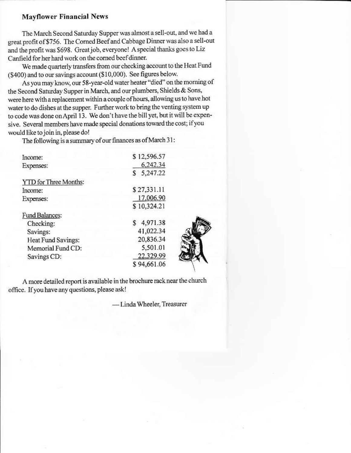#### **Mayflower Financial News**

The March Second Saturday Supper was almost a sell-out, and we had a great profit of \$756. The Corned Beef and Cabbage Dinner was also a sell-out and the profit was \$698. Great job, everyone! A special thanks goes to Liz Canfield for her hard work on the corned beef dinner.

We made quarterly transfers from our checking account to the Heat Fund (\$400) and to our savings account (\$10,000). See figures below.

As you may know, our 58-year-old water heater "died" on the morning of the Second Saturday Supper in March, and our plumbers, Shields & Sons, were here with a replacement within a couple of hours, allowing us to have hot water to do dishes at the supper. Further work to bring the venting system up to code was done on April 13. We don't have the bill yet, but it will be expensive. Several members have made special donations toward the cost; if you would like to join in, please do!

The following is a summary of our finances as of March 31:

| Income:               | \$12,596.57    |
|-----------------------|----------------|
| Expenses:             | 6,242.34       |
|                       | 5,247.22<br>\$ |
| YTD for Three Months: |                |
| Income:               | \$27,331.11    |
| Expenses:             | 17,006.90      |
|                       | \$10,324.21    |
| Fund Balances:        |                |
| Checking:             | 4,971.38<br>\$ |
| Savings:              | 41,022.34      |
| Heat Fund Savings:    | 20,836.34      |
| Memorial Fund CD:     | 5,501.01       |
| Savings CD:           | 22,329.99      |
|                       | \$94,661.06    |



A more detailed report is available in the brochure rack near the church office. If you have any questions, please ask!

-Linda Wheeler, Treasurer